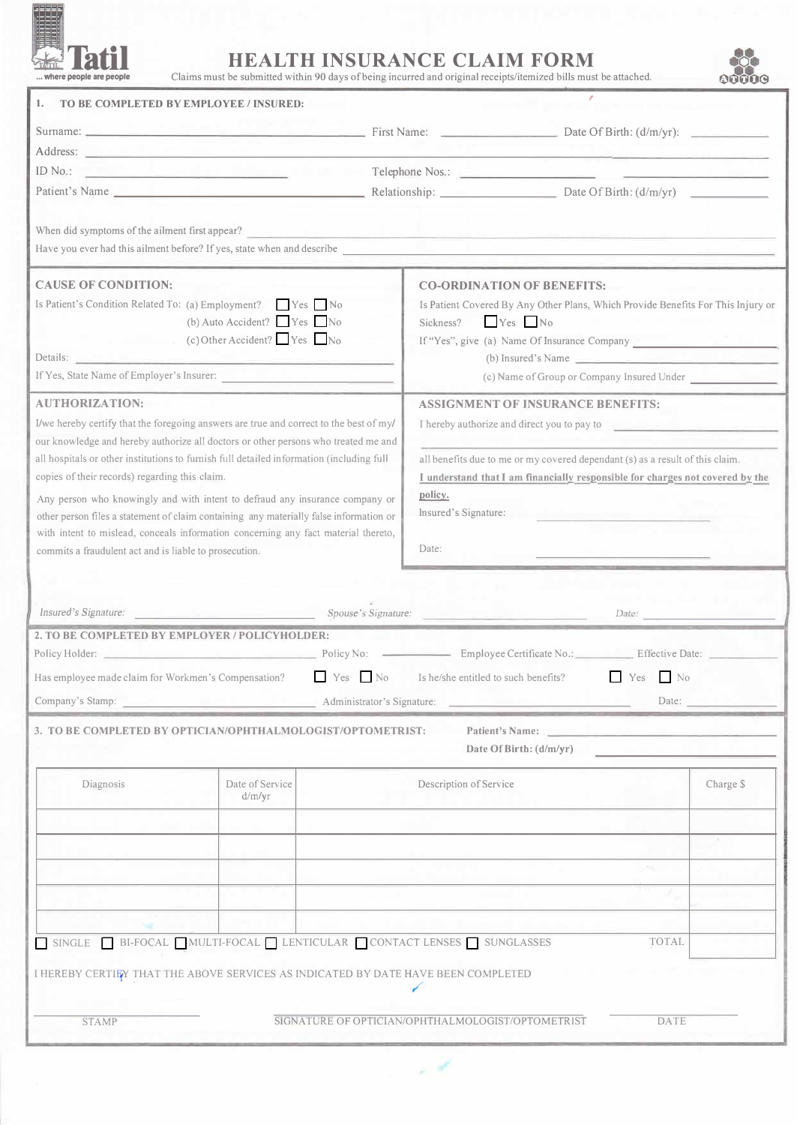

## **TATILE THINSURANCE CLAIM FORM**<br> **TATILE TRALTH INSURANCE CLAIM FORM**<br> **TATILE TRALTH INSURANCE CLAIM FORM**

Claims must be submitted within 90 days of being incurred and original receipts/itemized bills must be attached.



| TO BE COMPLETED BY EMPLOYEE / INSURED:<br>1.                                                                                                                                                                                                                                                                           |                                         |                            |                                                                                                                                                                                                                                                                                                          |                                                                                                                       |           |  |
|------------------------------------------------------------------------------------------------------------------------------------------------------------------------------------------------------------------------------------------------------------------------------------------------------------------------|-----------------------------------------|----------------------------|----------------------------------------------------------------------------------------------------------------------------------------------------------------------------------------------------------------------------------------------------------------------------------------------------------|-----------------------------------------------------------------------------------------------------------------------|-----------|--|
| Surname: Date Of Birth: (d/m/yr):                                                                                                                                                                                                                                                                                      |                                         |                            |                                                                                                                                                                                                                                                                                                          |                                                                                                                       |           |  |
|                                                                                                                                                                                                                                                                                                                        |                                         |                            |                                                                                                                                                                                                                                                                                                          |                                                                                                                       |           |  |
| المستحقق فالماسية والمتحدث<br>ID $No.$ :                                                                                                                                                                                                                                                                               |                                         |                            |                                                                                                                                                                                                                                                                                                          |                                                                                                                       |           |  |
| Patient's Name                                                                                                                                                                                                                                                                                                         |                                         |                            |                                                                                                                                                                                                                                                                                                          | Relationship: Date Of Birth: (d/m/yr)                                                                                 |           |  |
| When did symptoms of the ailment first appear?<br>Have you ever had this ailment before? If yes, state when and describe                                                                                                                                                                                               |                                         |                            |                                                                                                                                                                                                                                                                                                          | <u> 1990 - Jan James Alemania, martin de la provincia de la provincia de la provincia de la provincia de la provi</u> |           |  |
| <b>CAUSE OF CONDITION:</b><br>Is Patient's Condition Related To: (a) Employment? Yes No<br>$(c)$ Other Accident? $\Box$ Yes $\Box$ No<br>Details: <u>Communication of the communication</u><br>If Yes, State Name of Employer's Insurer: The Community of State Name of Employer's Insurer:                            | (b) Auto Accident? $\Box$ Yes $\Box$ No |                            | <b>CO-ORDINATION OF BENEFITS:</b><br>Is Patient Covered By Any Other Plans, Which Provide Benefits For This Injury or<br>$Yes$ No<br>Sickness?<br>If "Yes", give (a) Name Of Insurance Company ___________________________________<br>$(b)$ Insured's Name<br>(c) Name of Group or Company Insured Under |                                                                                                                       |           |  |
| <b>AUTHORIZATION:</b>                                                                                                                                                                                                                                                                                                  |                                         |                            | <b>ASSIGNMENT OF INSURANCE BENEFITS:</b>                                                                                                                                                                                                                                                                 |                                                                                                                       |           |  |
| I/we hereby certify that the foregoing answers are true and correct to the best of my/                                                                                                                                                                                                                                 |                                         |                            |                                                                                                                                                                                                                                                                                                          |                                                                                                                       |           |  |
| our knowledge and hereby authorize all doctors or other persons who treated me and<br>all hospitals or other institutions to furnish full detailed information (including full<br>copies of their records) regarding this claim.                                                                                       |                                         |                            | I hereby authorize and direct you to pay to<br>all benefits due to me or my covered dependant (s) as a result of this claim.<br>I understand that I am financially responsible for charges not covered by the                                                                                            |                                                                                                                       |           |  |
| Any person who knowingly and with intent to defraud any insurance company or<br>other person files a statement of claim containing any materially false information or<br>with intent to mislead, conceals information concerning any fact material thereto,<br>commits a fraudulent act and is liable to prosecution. |                                         |                            | policy.<br>Insured's Signature:<br>Date:                                                                                                                                                                                                                                                                 |                                                                                                                       |           |  |
| Insured's Signature: Spouse's Signature:                                                                                                                                                                                                                                                                               |                                         |                            |                                                                                                                                                                                                                                                                                                          | Date:                                                                                                                 |           |  |
| 2. TO BE COMPLETED BY EMPLOYER / POLICYHOLDER:<br>Policy Holder: _                                                                                                                                                                                                                                                     |                                         | Policy No: $\qquad$        |                                                                                                                                                                                                                                                                                                          | - Employee Certificate No.: Effective Date:                                                                           |           |  |
| $Yes$ No<br>Has employee made claim for Workmen's Compensation?                                                                                                                                                                                                                                                        |                                         |                            | Yes<br>N <sub>0</sub><br>Is he/she entitled to such benefits?                                                                                                                                                                                                                                            |                                                                                                                       |           |  |
| Company's Stamp:                                                                                                                                                                                                                                                                                                       |                                         | Administrator's Signature: |                                                                                                                                                                                                                                                                                                          |                                                                                                                       | Date:     |  |
| 3. TO BE COMPLETED BY OPTICIAN/OPHTHALMOLOGIST/OPTOMETRIST:                                                                                                                                                                                                                                                            |                                         |                            | <b>Patient's Name:</b><br>Date Of Birth: (d/m/yr)                                                                                                                                                                                                                                                        |                                                                                                                       |           |  |
| Diagnosis                                                                                                                                                                                                                                                                                                              | Date of Service<br>d/m/yr               |                            | Description of Service                                                                                                                                                                                                                                                                                   |                                                                                                                       | Charge \$ |  |
|                                                                                                                                                                                                                                                                                                                        |                                         |                            |                                                                                                                                                                                                                                                                                                          |                                                                                                                       |           |  |
|                                                                                                                                                                                                                                                                                                                        |                                         |                            |                                                                                                                                                                                                                                                                                                          | in a                                                                                                                  |           |  |
|                                                                                                                                                                                                                                                                                                                        |                                         |                            |                                                                                                                                                                                                                                                                                                          |                                                                                                                       |           |  |
|                                                                                                                                                                                                                                                                                                                        |                                         |                            |                                                                                                                                                                                                                                                                                                          |                                                                                                                       |           |  |
| SINGLE BI-FOCAL MULTI-FOCAL LENTICULAR CONTACT LENSES SUNGLASSES                                                                                                                                                                                                                                                       |                                         |                            |                                                                                                                                                                                                                                                                                                          | <b>TOTAL</b>                                                                                                          |           |  |
| I HEREBY CERTIFY THAT THE ABOVE SERVICES AS INDICATED BY DATE HAVE BEEN COMPLETED                                                                                                                                                                                                                                      |                                         |                            |                                                                                                                                                                                                                                                                                                          |                                                                                                                       |           |  |
| <b>STAMP</b>                                                                                                                                                                                                                                                                                                           |                                         |                            | SIGNATURE OF OPTICIAN/OPHTHALMOLOGIST/OPTOMETRIST                                                                                                                                                                                                                                                        | DATE                                                                                                                  |           |  |

W